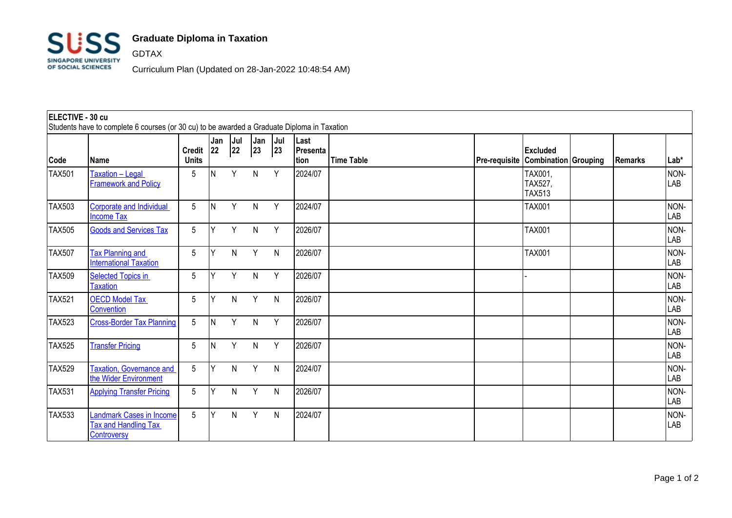

## **Graduate Diploma in Taxation**

GDTAX

Curriculum Plan (Updated on 28-Jan-2022 10:48:54 AM)

## **ELECTIVE - 30 cu** Students have to complete 6 courses (or 30 cu) to be awarded a Graduate Diploma in Taxation **Code Name Credit Units Jan 22 Jul 22 Jan 23 Jul 23 Last Presenta tion Time Table Pre-requisite Combination Grouping Remarks Lab\* Excluded**   $TX501$   $Txation - Lecal$ **[Framework and Policy](http://sims1.suss.edu.sg/ESERVICE/Public/ViewCourse/ViewCourse.aspx?crsecd=TAX501&viewtype=pdf&isft=0)** 5 N Y N Y 2024/07 TAX001, TAX527, TAX513 NON-LAB TAX503 Corporate and Individual [Income Tax](http://sims1.suss.edu.sg/ESERVICE/Public/ViewCourse/ViewCourse.aspx?crsecd=TAX503&viewtype=pdf&isft=0) 5 |N Y N Y |2024/07 | |TAX001 | | |NON-LAB TAX505 [Goods and Services Tax](http://sims1.suss.edu.sg/ESERVICE/Public/ViewCourse/ViewCourse.aspx?crsecd=TAX505&viewtype=pdf&isft=0) 5 Y Y N Y 2026/07 TAX001 NON-LAB TAX507 **Tax Planning and** [International Taxation](http://sims1.suss.edu.sg/ESERVICE/Public/ViewCourse/ViewCourse.aspx?crsecd=TAX507&viewtype=pdf&isft=0) 5 Y N Y N 2026/07 TAX001 NON-LAB TAX509 Selected Topics in **[Taxation](http://sims1.suss.edu.sg/ESERVICE/Public/ViewCourse/ViewCourse.aspx?crsecd=TAX509&viewtype=pdf&isft=0)** 5 Y Y N Y 2026/07 - NON-LAB TAX521 [OECD Model Tax](http://sims1.suss.edu.sg/ESERVICE/Public/ViewCourse/ViewCourse.aspx?crsecd=TAX521&viewtype=pdf&isft=0)  **[Convention](http://sims1.suss.edu.sg/ESERVICE/Public/ViewCourse/ViewCourse.aspx?crsecd=TAX521&viewtype=pdf&isft=0)** 5 Y N Y N |2026/07 | | | | | | |NON-LAB TAX523 [Cross-Border Tax Planning](http://sims1.suss.edu.sg/ESERVICE/Public/ViewCourse/ViewCourse.aspx?crsecd=TAX523&viewtype=pdf&isft=0) 5 N Y N Y 2026/07 NON-LAB TAX525 [Transfer Pricing](http://sims1.suss.edu.sg/ESERVICE/Public/ViewCourse/ViewCourse.aspx?crsecd=TAX525&viewtype=pdf&isft=0) 5 N Y N Y 2026/07 NON-LAB TAX529 [Taxation, Governance and](http://sims1.suss.edu.sg/ESERVICE/Public/ViewCourse/ViewCourse.aspx?crsecd=TAX529&viewtype=pdf&isft=0)  [the Wider Environment](http://sims1.suss.edu.sg/ESERVICE/Public/ViewCourse/ViewCourse.aspx?crsecd=TAX529&viewtype=pdf&isft=0) 5 Y N Y N 2024/07 NON-LAB TAX531 [Applying Transfer Pricing](http://sims1.suss.edu.sg/ESERVICE/Public/ViewCourse/ViewCourse.aspx?crsecd=TAX531&viewtype=pdf&isft=0) 5 Y N Y N 2026/07 NON-LAB TAX533 [Landmark Cases in Income](http://sims1.suss.edu.sg/ESERVICE/Public/ViewCourse/ViewCourse.aspx?crsecd=TAX533&viewtype=pdf&isft=0)  [Tax and Handling Tax](http://sims1.suss.edu.sg/ESERVICE/Public/ViewCourse/ViewCourse.aspx?crsecd=TAX533&viewtype=pdf&isft=0)  **[Controversy](http://sims1.suss.edu.sg/ESERVICE/Public/ViewCourse/ViewCourse.aspx?crsecd=TAX533&viewtype=pdf&isft=0)** 5 Y N Y N 2024/07 NON-LAB